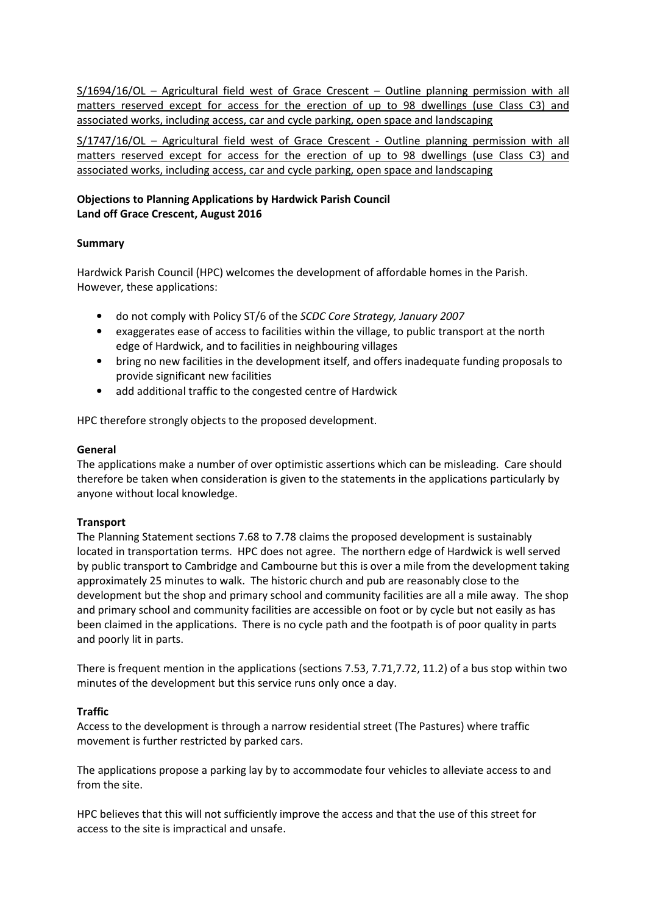S/1694/16/OL – Agricultural field west of Grace Crescent – Outline planning permission with all matters reserved except for access for the erection of up to 98 dwellings (use Class C3) and associated works, including access, car and cycle parking, open space and landscaping

S/1747/16/OL – Agricultural field west of Grace Crescent - Outline planning permission with all matters reserved except for access for the erection of up to 98 dwellings (use Class C3) and associated works, including access, car and cycle parking, open space and landscaping

# Objections to Planning Applications by Hardwick Parish Council Land off Grace Crescent, August 2016

# Summary

Hardwick Parish Council (HPC) welcomes the development of affordable homes in the Parish. However, these applications:

- do not comply with Policy ST/6 of the SCDC Core Strategy, January 2007
- exaggerates ease of access to facilities within the village, to public transport at the north edge of Hardwick, and to facilities in neighbouring villages
- bring no new facilities in the development itself, and offers inadequate funding proposals to provide significant new facilities
- add additional traffic to the congested centre of Hardwick

HPC therefore strongly objects to the proposed development.

## General

The applications make a number of over optimistic assertions which can be misleading. Care should therefore be taken when consideration is given to the statements in the applications particularly by anyone without local knowledge.

### **Transport**

The Planning Statement sections 7.68 to 7.78 claims the proposed development is sustainably located in transportation terms. HPC does not agree. The northern edge of Hardwick is well served by public transport to Cambridge and Cambourne but this is over a mile from the development taking approximately 25 minutes to walk. The historic church and pub are reasonably close to the development but the shop and primary school and community facilities are all a mile away. The shop and primary school and community facilities are accessible on foot or by cycle but not easily as has been claimed in the applications. There is no cycle path and the footpath is of poor quality in parts and poorly lit in parts.

There is frequent mention in the applications (sections 7.53, 7.71,7.72, 11.2) of a bus stop within two minutes of the development but this service runs only once a day.

# Traffic

Access to the development is through a narrow residential street (The Pastures) where traffic movement is further restricted by parked cars.

The applications propose a parking lay by to accommodate four vehicles to alleviate access to and from the site.

HPC believes that this will not sufficiently improve the access and that the use of this street for access to the site is impractical and unsafe.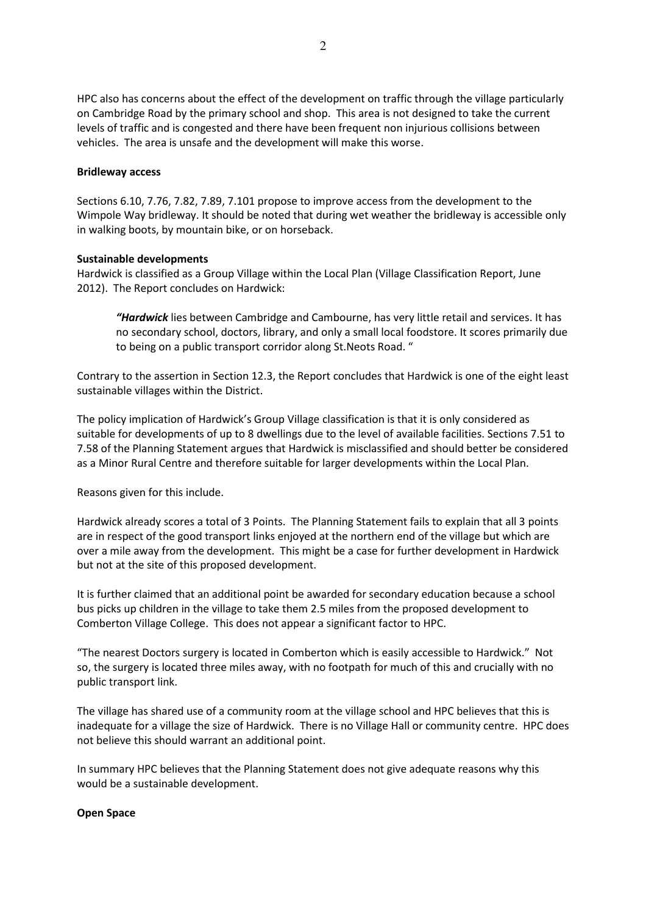HPC also has concerns about the effect of the development on traffic through the village particularly on Cambridge Road by the primary school and shop. This area is not designed to take the current levels of traffic and is congested and there have been frequent non injurious collisions between vehicles. The area is unsafe and the development will make this worse.

#### Bridleway access

Sections 6.10, 7.76, 7.82, 7.89, 7.101 propose to improve access from the development to the Wimpole Way bridleway. It should be noted that during wet weather the bridleway is accessible only in walking boots, by mountain bike, or on horseback.

#### Sustainable developments

Hardwick is classified as a Group Village within the Local Plan (Village Classification Report, June 2012). The Report concludes on Hardwick:

"Hardwick lies between Cambridge and Cambourne, has very little retail and services. It has no secondary school, doctors, library, and only a small local foodstore. It scores primarily due to being on a public transport corridor along St.Neots Road. "

Contrary to the assertion in Section 12.3, the Report concludes that Hardwick is one of the eight least sustainable villages within the District.

The policy implication of Hardwick's Group Village classification is that it is only considered as suitable for developments of up to 8 dwellings due to the level of available facilities. Sections 7.51 to 7.58 of the Planning Statement argues that Hardwick is misclassified and should better be considered as a Minor Rural Centre and therefore suitable for larger developments within the Local Plan.

Reasons given for this include.

Hardwick already scores a total of 3 Points. The Planning Statement fails to explain that all 3 points are in respect of the good transport links enjoyed at the northern end of the village but which are over a mile away from the development. This might be a case for further development in Hardwick but not at the site of this proposed development.

It is further claimed that an additional point be awarded for secondary education because a school bus picks up children in the village to take them 2.5 miles from the proposed development to Comberton Village College. This does not appear a significant factor to HPC.

"The nearest Doctors surgery is located in Comberton which is easily accessible to Hardwick." Not so, the surgery is located three miles away, with no footpath for much of this and crucially with no public transport link.

The village has shared use of a community room at the village school and HPC believes that this is inadequate for a village the size of Hardwick. There is no Village Hall or community centre. HPC does not believe this should warrant an additional point.

In summary HPC believes that the Planning Statement does not give adequate reasons why this would be a sustainable development.

#### Open Space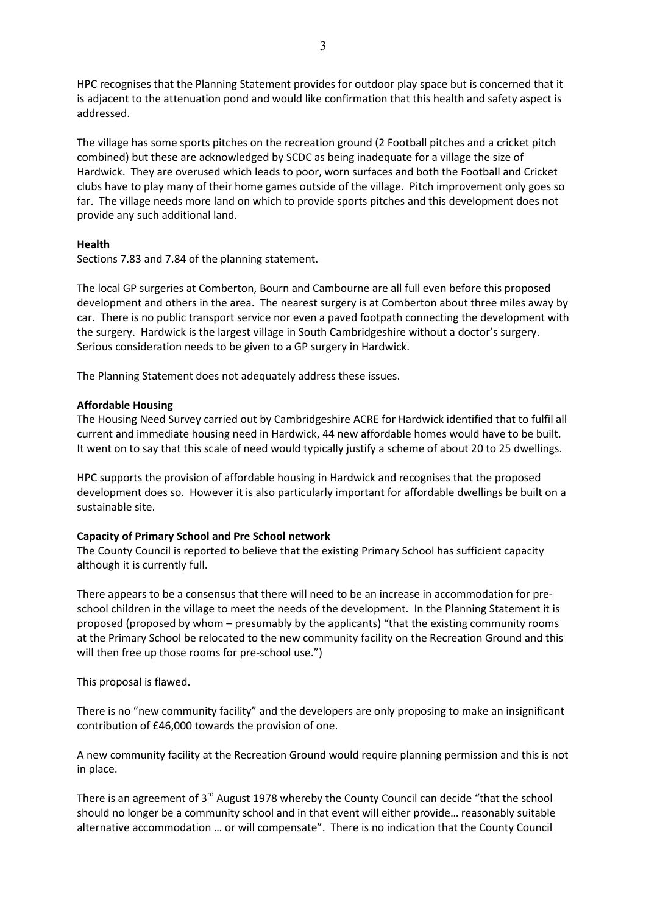HPC recognises that the Planning Statement provides for outdoor play space but is concerned that it is adjacent to the attenuation pond and would like confirmation that this health and safety aspect is addressed.

The village has some sports pitches on the recreation ground (2 Football pitches and a cricket pitch combined) but these are acknowledged by SCDC as being inadequate for a village the size of Hardwick. They are overused which leads to poor, worn surfaces and both the Football and Cricket clubs have to play many of their home games outside of the village. Pitch improvement only goes so far. The village needs more land on which to provide sports pitches and this development does not provide any such additional land.

## Health

Sections 7.83 and 7.84 of the planning statement.

The local GP surgeries at Comberton, Bourn and Cambourne are all full even before this proposed development and others in the area. The nearest surgery is at Comberton about three miles away by car. There is no public transport service nor even a paved footpath connecting the development with the surgery. Hardwick is the largest village in South Cambridgeshire without a doctor's surgery. Serious consideration needs to be given to a GP surgery in Hardwick.

The Planning Statement does not adequately address these issues.

### Affordable Housing

The Housing Need Survey carried out by Cambridgeshire ACRE for Hardwick identified that to fulfil all current and immediate housing need in Hardwick, 44 new affordable homes would have to be built. It went on to say that this scale of need would typically justify a scheme of about 20 to 25 dwellings.

HPC supports the provision of affordable housing in Hardwick and recognises that the proposed development does so. However it is also particularly important for affordable dwellings be built on a sustainable site.

### Capacity of Primary School and Pre School network

The County Council is reported to believe that the existing Primary School has sufficient capacity although it is currently full.

There appears to be a consensus that there will need to be an increase in accommodation for preschool children in the village to meet the needs of the development. In the Planning Statement it is proposed (proposed by whom – presumably by the applicants) "that the existing community rooms at the Primary School be relocated to the new community facility on the Recreation Ground and this will then free up those rooms for pre-school use.")

This proposal is flawed.

There is no "new community facility" and the developers are only proposing to make an insignificant contribution of £46,000 towards the provision of one.

A new community facility at the Recreation Ground would require planning permission and this is not in place.

There is an agreement of  $3<sup>rd</sup>$  August 1978 whereby the County Council can decide "that the school should no longer be a community school and in that event will either provide… reasonably suitable alternative accommodation … or will compensate". There is no indication that the County Council